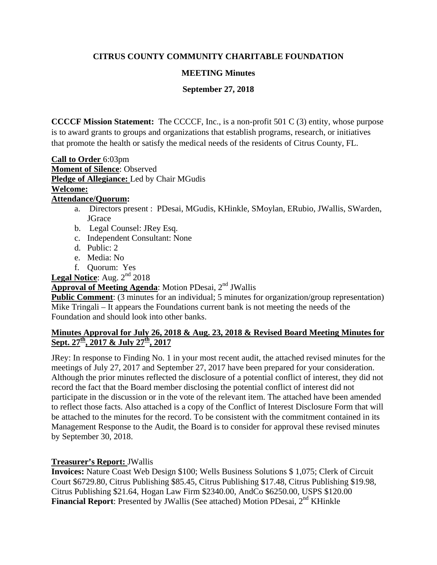# **CITRUS COUNTY COMMUNITY CHARITABLE FOUNDATION**

## **MEETING Minutes**

## **September 27, 2018**

**CCCCF Mission Statement:** The CCCCF, Inc., is a non-profit 501 C (3) entity, whose purpose is to award grants to groups and organizations that establish programs, research, or initiatives that promote the health or satisfy the medical needs of the residents of Citrus County, FL.

**Call to Order** 6:03pm **Moment of Silence**: Observed **Pledge of Allegiance:** Led by Chair MGudis **Welcome: Attendance/Quorum:** 

- a. Directors present : PDesai, MGudis, KHinkle, SMoylan, ERubio, JWallis, SWarden, **JGrace**
- b. Legal Counsel: JRey Esq.
- c. Independent Consultant: None
- d. Public: 2
- e. Media: No
- f. Quorum: Yes

Legal Notice: Aug. 2<sup>nd</sup> 2018

# **Approval of Meeting Agenda:** Motion PDesai, 2<sup>nd</sup> JWallis

**Public Comment**: (3 minutes for an individual; 5 minutes for organization/group representation) Mike Tringali – It appears the Foundations current bank is not meeting the needs of the Foundation and should look into other banks.

### **Minutes Approval for July 26, 2018 & Aug. 23, 2018 & Revised Board Meeting Minutes for**  Sept. 27<sup>th</sup>, 2017 & July 27<sup>th</sup>, 2017

JRey: In response to Finding No. 1 in your most recent audit, the attached revised minutes for the meetings of July 27, 2017 and September 27, 2017 have been prepared for your consideration. Although the prior minutes reflected the disclosure of a potential conflict of interest, they did not record the fact that the Board member disclosing the potential conflict of interest did not participate in the discussion or in the vote of the relevant item. The attached have been amended to reflect those facts. Also attached is a copy of the Conflict of Interest Disclosure Form that will be attached to the minutes for the record. To be consistent with the commitment contained in its Management Response to the Audit, the Board is to consider for approval these revised minutes by September 30, 2018.

### **Treasurer's Report:** JWallis

**Invoices:** Nature Coast Web Design \$100; Wells Business Solutions \$ 1,075; Clerk of Circuit Court \$6729.80, Citrus Publishing \$85.45, Citrus Publishing \$17.48, Citrus Publishing \$19.98, Citrus Publishing \$21.64, Hogan Law Firm \$2340.00, AndCo \$6250.00, USPS \$120.00 **Financial Report:** Presented by JWallis (See attached) Motion PDesai, 2<sup>nd</sup> KHinkle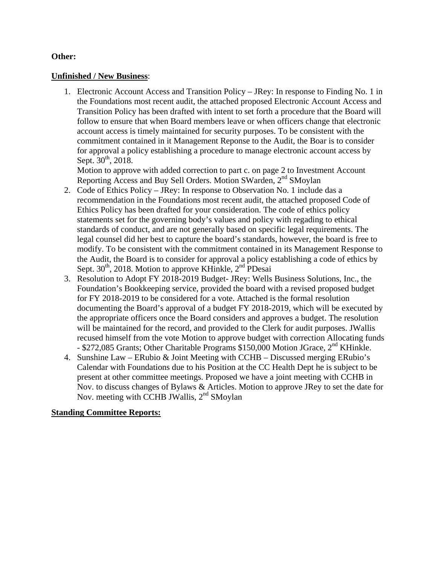#### **Other:**

#### **Unfinished / New Business**:

1. Electronic Account Access and Transition Policy – JRey: In response to Finding No. 1 in the Foundations most recent audit, the attached proposed Electronic Account Access and Transition Policy has been drafted with intent to set forth a procedure that the Board will follow to ensure that when Board members leave or when officers change that electronic account access is timely maintained for security purposes. To be consistent with the commitment contained in it Management Reponse to the Audit, the Boar is to consider for approval a policy establishing a procedure to manage electronic account access by Sept.  $30^{th}$ , 2018.

Motion to approve with added correction to part c. on page 2 to Investment Account Reporting Access and Buy Sell Orders. Motion SWarden, 2<sup>nd</sup> SMoylan

- 2. Code of Ethics Policy JRey: In response to Observation No. 1 include das a recommendation in the Foundations most recent audit, the attached proposed Code of Ethics Policy has been drafted for your consideration. The code of ethics policy statements set for the governing body's values and policy with regading to ethical standards of conduct, and are not generally based on specific legal requirements. The legal counsel did her best to capture the board's standards, however, the board is free to modify. To be consistent with the commitment contained in its Management Response to the Audit, the Board is to consider for approval a policy establishing a code of ethics by Sept.  $30<sup>th</sup>$ , 2018. Motion to approve KHinkle,  $2<sup>nd</sup>$  PDesai
- 3. Resolution to Adopt FY 2018-2019 Budget- JRey: Wells Business Solutions, Inc., the Foundation's Bookkeeping service, provided the board with a revised proposed budget for FY 2018-2019 to be considered for a vote. Attached is the formal resolution documenting the Board's approval of a budget FY 2018-2019, which will be executed by the appropriate officers once the Board considers and approves a budget. The resolution will be maintained for the record, and provided to the Clerk for audit purposes. JWallis recused himself from the vote Motion to approve budget with correction Allocating funds - \$272,085 Grants; Other Charitable Programs \$150,000 Motion JGrace, 2<sup>nd</sup> KHinkle.
- 4. Sunshine Law ERubio & Joint Meeting with CCHB Discussed merging ERubio's Calendar with Foundations due to his Position at the CC Health Dept he is subject to be present at other committee meetings. Proposed we have a joint meeting with CCHB in Nov. to discuss changes of Bylaws & Articles. Motion to approve JRey to set the date for Nov. meeting with CCHB JWallis, 2<sup>nd</sup> SMoylan

#### **Standing Committee Reports:**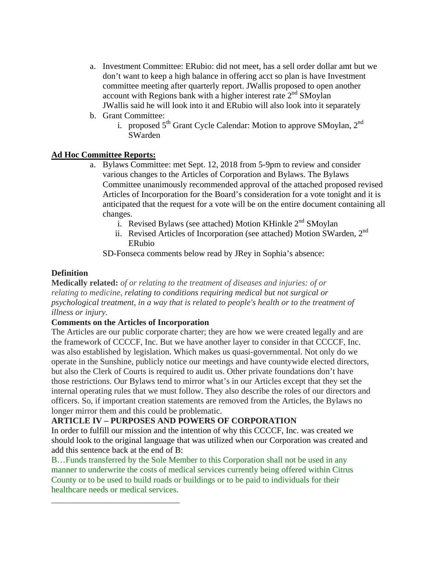- a. Investment Committee: ERubio: did not meet, has a sell order dollar amt but we don't want to keep a high balance in offering acct so plan is have Investment committee meeting after quarterly report. JWallis proposed to open another account with Regions bank with a higher interest rate  $2<sup>nd</sup>$  SMoylan JWallis said he will look into it and ERubio will also look into it separately
- b. Grant Committee:
	- i. proposed  $5<sup>th</sup>$  Grant Cycle Calendar: Motion to approve SMoylan,  $2<sup>nd</sup>$ SWarden

#### **Ad Hoc Committee Reports:**

- a. Bylaws Committee: met Sept. 12, 2018 from 5-9pm to review and consider various changes to the Articles of Corporation and Bylaws. The Bylaws Committee unanimously recommended approval of the attached proposed revised Articles of Incorporation for the Board's consideration for a vote tonight and it is anticipated that the request for a vote will be on the entire document containing all changes.
	- i. Revised Bylaws (see attached) Motion KHinkle  $2<sup>nd</sup>$  SMoylan
	- ii. Revised Articles of Incorporation (see attached) Motion SWarden,  $2<sup>nd</sup>$ ERubio

SD-Fonseca comments below read by JRey in Sophia's absence:

#### **Definition**

**Medically related:** *of or relating to the treatment of diseases and injuries: of or relating to medicine, relating to conditions requiring medical but not surgical or psychological treatment, in a way that is related to people's health or to the treatment of illness or injury.*

#### **Comments on the Articles of Incorporation**

\_\_\_\_\_\_\_\_\_\_\_\_\_\_\_\_\_\_\_\_\_\_\_\_\_\_\_\_\_\_

The Articles are our public corporate charter; they are how we were created legally and are the framework of CCCCF, Inc. But we have another layer to consider in that CCCCF, Inc. was also established by legislation. Which makes us quasi-governmental. Not only do we operate in the Sunshine, publicly notice our meetings and have countywide elected directors, but also the Clerk of Courts is required to audit us. Other private foundations don't have those restrictions. Our Bylaws tend to mirror what's in our Articles except that they set the internal operating rules that we must follow. They also describe the roles of our directors and officers. So, if important creation statements are removed from the Articles, the Bylaws no longer mirror them and this could be problematic.

#### **ARTICLE IV – PURPOSES AND POWERS OF CORPORATION**

In order to fulfill our mission and the intention of why this CCCCF, Inc. was created we should look to the original language that was utilized when our Corporation was created and add this sentence back at the end of B:

B…Funds transferred by the Sole Member to this Corporation shall not be used in any manner to underwrite the costs of medical services currently being offered within Citrus County or to be used to build roads or buildings or to be paid to individuals for their healthcare needs or medical services.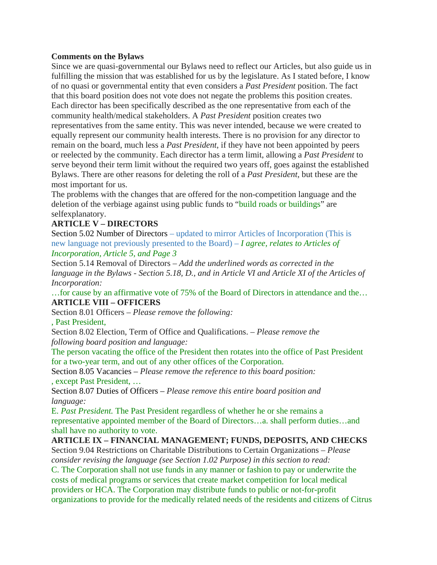#### **Comments on the Bylaws**

Since we are quasi-governmental our Bylaws need to reflect our Articles, but also guide us in fulfilling the mission that was established for us by the legislature. As I stated before, I know of no quasi or governmental entity that even considers a *Past President* position. The fact that this board position does not vote does not negate the problems this position creates. Each director has been specifically described as the one representative from each of the community health/medical stakeholders. A *Past President* position creates two representatives from the same entity. This was never intended, because we were created to equally represent our community health interests. There is no provision for any director to remain on the board, much less a *Past President*, if they have not been appointed by peers or reelected by the community. Each director has a term limit, allowing a *Past President* to serve beyond their term limit without the required two years off, goes against the established Bylaws. There are other reasons for deleting the roll of a *Past President*, but these are the most important for us.

The problems with the changes that are offered for the non-competition language and the deletion of the verbiage against using public funds to "build roads or buildings" are selfexplanatory.

## **ARTICLE V – DIRECTORS**

Section 5.02 Number of Directors – updated to mirror Articles of Incorporation (This is new language not previously presented to the Board) – *I agree, relates to Articles of Incorporation, Article 5, and Page 3*

Section 5.14 Removal of Directors – *Add the underlined words as corrected in the language in the Bylaws - Section 5.18, D., and in Article VI and Article XI of the Articles of Incorporation:*

…for cause by an affirmative vote of 75% of the Board of Directors in attendance and the… **ARTICLE VIII – OFFICERS**

Section 8.01 Officers – *Please remove the following:*

, Past President,

Section 8.02 Election, Term of Office and Qualifications. – *Please remove the following board position and language:*

The person vacating the office of the President then rotates into the office of Past President for a two-year term, and out of any other offices of the Corporation.

Section 8.05 Vacancies – *Please remove the reference to this board position:* , except Past President, …

Section 8.07 Duties of Officers – *Please remove this entire board position and language:*

E. *Past President.* The Past President regardless of whether he or she remains a representative appointed member of the Board of Directors…a. shall perform duties…and shall have no authority to vote.

### **ARTICLE IX – FINANCIAL MANAGEMENT; FUNDS, DEPOSITS, AND CHECKS**

Section 9.04 Restrictions on Charitable Distributions to Certain Organizations – *Please consider revising the language (see Section 1.02 Purpose) in this section to read:* C. The Corporation shall not use funds in any manner or fashion to pay or underwrite the costs of medical programs or services that create market competition for local medical providers or HCA. The Corporation may distribute funds to public or not-for-profit organizations to provide for the medically related needs of the residents and citizens of Citrus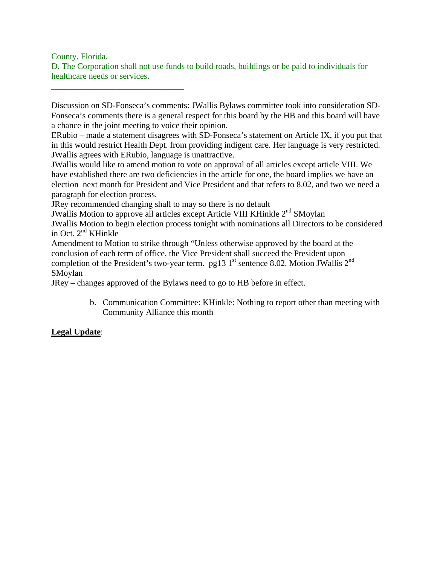County, Florida.

\_\_\_\_\_\_\_\_\_\_\_\_\_\_\_\_\_\_\_\_\_\_\_\_\_\_\_\_\_\_\_

D. The Corporation shall not use funds to build roads, buildings or be paid to individuals for healthcare needs or services.

Discussion on SD-Fonseca's comments: JWallis Bylaws committee took into consideration SD-Fonseca's comments there is a general respect for this board by the HB and this board will have a chance in the joint meeting to voice their opinion.

ERubio – made a statement disagrees with SD-Fonseca's statement on Article IX, if you put that in this would restrict Health Dept. from providing indigent care. Her language is very restricted. JWallis agrees with ERubio, language is unattractive.

JWallis would like to amend motion to vote on approval of all articles except article VIII. We have established there are two deficiencies in the article for one, the board implies we have an election next month for President and Vice President and that refers to 8.02, and two we need a paragraph for election process.

JRey recommended changing shall to may so there is no default

JWallis Motion to approve all articles except Article VIII KHinkle 2<sup>nd</sup> SMoylan

JWallis Motion to begin election process tonight with nominations all Directors to be considered in Oct. 2nd KHinkle

Amendment to Motion to strike through "Unless otherwise approved by the board at the conclusion of each term of office, the Vice President shall succeed the President upon completion of the President's two-year term. pg13  $1<sup>st</sup>$  sentence 8.02. Motion JWallis  $2<sup>nd</sup>$ SMoylan

JRey – changes approved of the Bylaws need to go to HB before in effect.

b. Communication Committee: KHinkle: Nothing to report other than meeting with Community Alliance this month

# **Legal Update**: